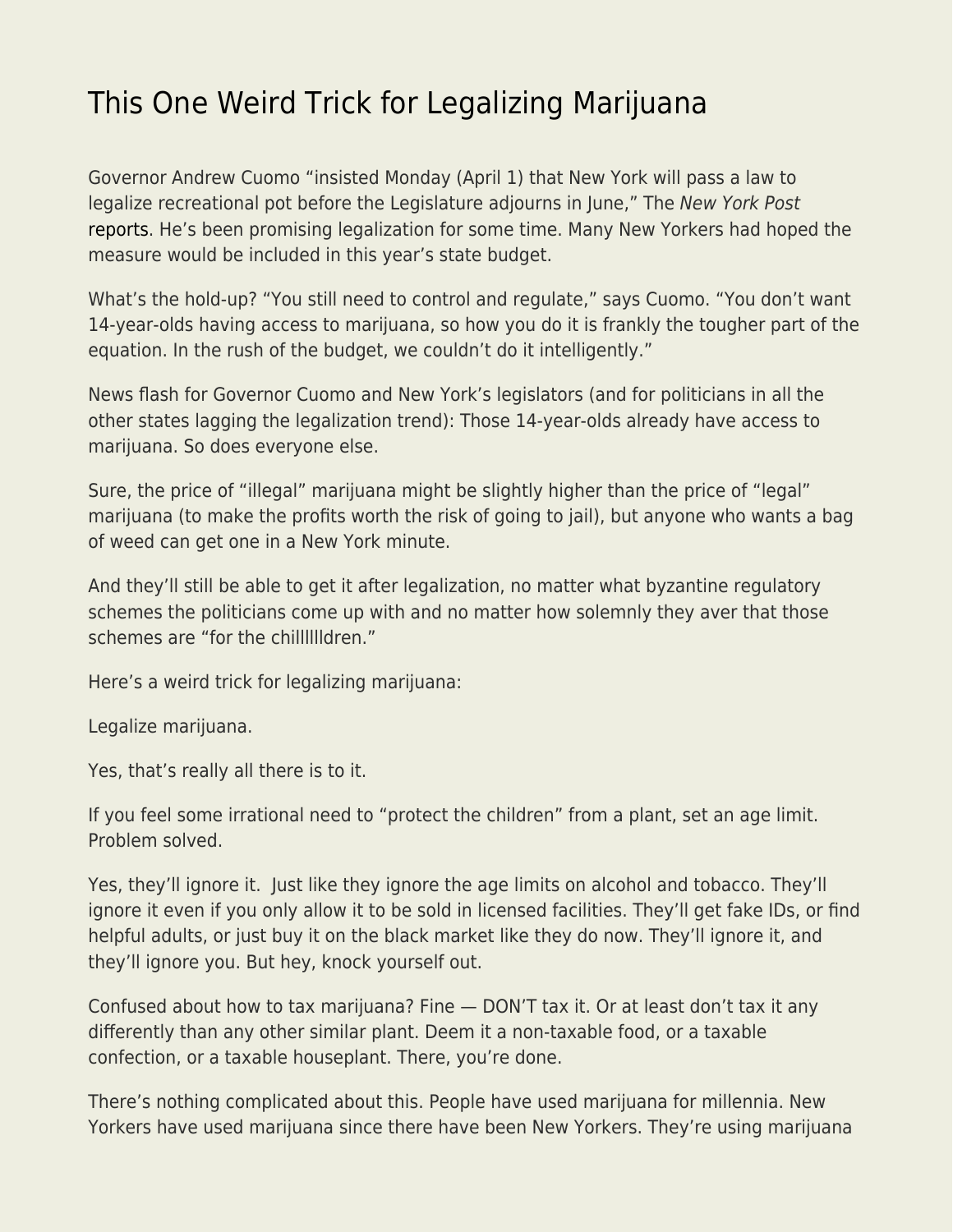## [This One Weird Trick for Legalizing Marijuana](https://everything-voluntary.com/this-one-weird-trick-for-legalizing-marijuana)

Governor Andrew Cuomo "insisted Monday (April 1) that New York will pass a law to legalize recreational pot before the Legislature adjourns in June," The New York Post [reports.](https://nypost.com/2019/04/01/cuomo-vows-to-pass-legal-marijuana-law-by-june/) He's been promising legalization for some time. Many New Yorkers had hoped the measure would be included in this year's state budget.

What's the hold-up? "You still need to control and regulate," says Cuomo. "You don't want 14-year-olds having access to marijuana, so how you do it is frankly the tougher part of the equation. In the rush of the budget, we couldn't do it intelligently."

News flash for Governor Cuomo and New York's legislators (and for politicians in all the other states lagging the legalization trend): Those 14-year-olds already have access to marijuana. So does everyone else.

Sure, the price of "illegal" marijuana might be slightly higher than the price of "legal" marijuana (to make the profits worth the risk of going to jail), but anyone who wants a bag of weed can get one in a New York minute.

And they'll still be able to get it after legalization, no matter what byzantine regulatory schemes the politicians come up with and no matter how solemnly they aver that those schemes are "for the chilllllldren."

Here's a weird trick for legalizing marijuana:

Legalize marijuana.

Yes, that's really all there is to it.

If you feel some irrational need to "protect the children" from a plant, set an age limit. Problem solved.

Yes, they'll ignore it. Just like they ignore the age limits on alcohol and tobacco. They'll ignore it even if you only allow it to be sold in licensed facilities. They'll get fake IDs, or find helpful adults, or just buy it on the black market like they do now. They'll ignore it, and they'll ignore you. But hey, knock yourself out.

Confused about how to tax marijuana? Fine — DON'T tax it. Or at least don't tax it any differently than any other similar plant. Deem it a non-taxable food, or a taxable confection, or a taxable houseplant. There, you're done.

There's nothing complicated about this. People have used marijuana for millennia. New Yorkers have used marijuana since there have been New Yorkers. They're using marijuana